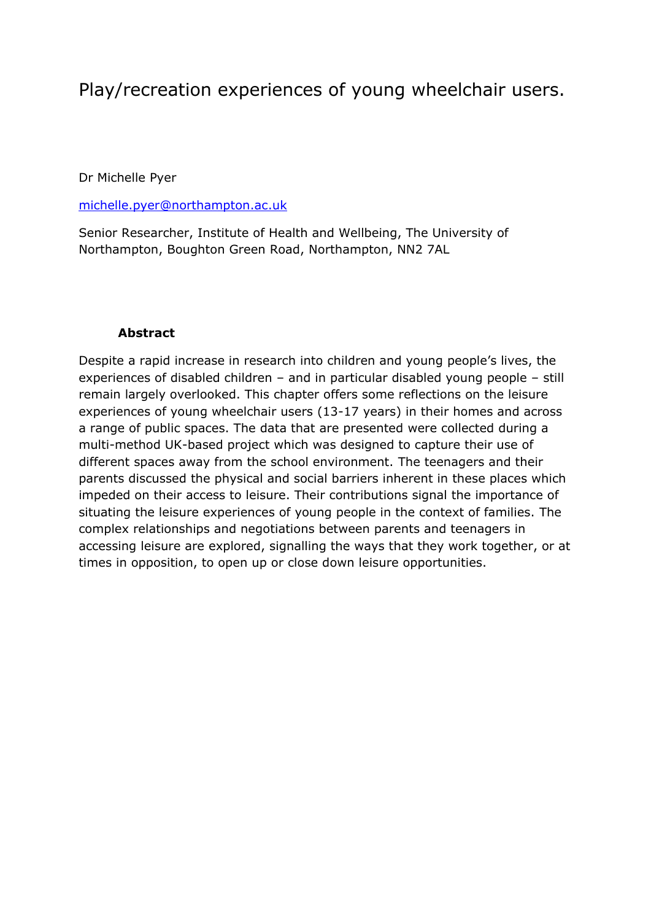# Play/recreation experiences of young wheelchair users.

Dr Michelle Pyer

#### [michelle.pyer@northampton.ac.uk](mailto:michelle.pyer@northampton.ac.uk)

Senior Researcher, Institute of Health and Wellbeing, The University of Northampton, Boughton Green Road, Northampton, NN2 7AL

#### **Abstract**

Despite a rapid increase in research into children and young people's lives, the experiences of disabled children – and in particular disabled young people – still remain largely overlooked. This chapter offers some reflections on the leisure experiences of young wheelchair users (13-17 years) in their homes and across a range of public spaces. The data that are presented were collected during a multi-method UK-based project which was designed to capture their use of different spaces away from the school environment. The teenagers and their parents discussed the physical and social barriers inherent in these places which impeded on their access to leisure. Their contributions signal the importance of situating the leisure experiences of young people in the context of families. The complex relationships and negotiations between parents and teenagers in accessing leisure are explored, signalling the ways that they work together, or at times in opposition, to open up or close down leisure opportunities.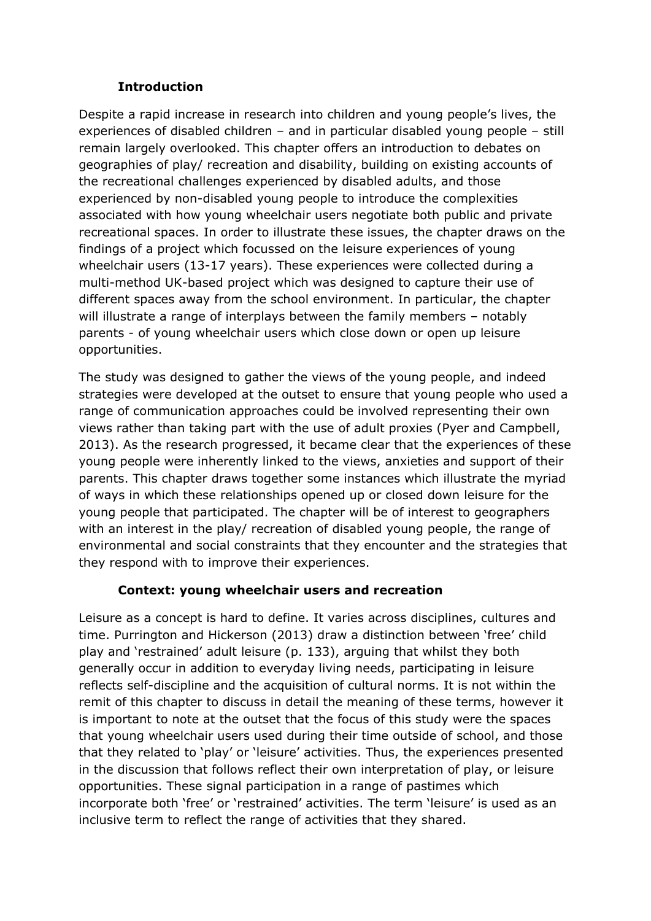### **Introduction**

Despite a rapid increase in research into children and young people's lives, the experiences of disabled children – and in particular disabled young people – still remain largely overlooked. This chapter offers an introduction to debates on geographies of play/ recreation and disability, building on existing accounts of the recreational challenges experienced by disabled adults, and those experienced by non-disabled young people to introduce the complexities associated with how young wheelchair users negotiate both public and private recreational spaces. In order to illustrate these issues, the chapter draws on the findings of a project which focussed on the leisure experiences of young wheelchair users (13-17 years). These experiences were collected during a multi-method UK-based project which was designed to capture their use of different spaces away from the school environment. In particular, the chapter will illustrate a range of interplays between the family members - notably parents - of young wheelchair users which close down or open up leisure opportunities.

The study was designed to gather the views of the young people, and indeed strategies were developed at the outset to ensure that young people who used a range of communication approaches could be involved representing their own views rather than taking part with the use of adult proxies (Pyer and Campbell, 2013). As the research progressed, it became clear that the experiences of these young people were inherently linked to the views, anxieties and support of their parents. This chapter draws together some instances which illustrate the myriad of ways in which these relationships opened up or closed down leisure for the young people that participated. The chapter will be of interest to geographers with an interest in the play/ recreation of disabled young people, the range of environmental and social constraints that they encounter and the strategies that they respond with to improve their experiences.

### **Context: young wheelchair users and recreation**

Leisure as a concept is hard to define. It varies across disciplines, cultures and time. Purrington and Hickerson (2013) draw a distinction between 'free' child play and 'restrained' adult leisure (p. 133), arguing that whilst they both generally occur in addition to everyday living needs, participating in leisure reflects self-discipline and the acquisition of cultural norms. It is not within the remit of this chapter to discuss in detail the meaning of these terms, however it is important to note at the outset that the focus of this study were the spaces that young wheelchair users used during their time outside of school, and those that they related to 'play' or 'leisure' activities. Thus, the experiences presented in the discussion that follows reflect their own interpretation of play, or leisure opportunities. These signal participation in a range of pastimes which incorporate both 'free' or 'restrained' activities. The term 'leisure' is used as an inclusive term to reflect the range of activities that they shared.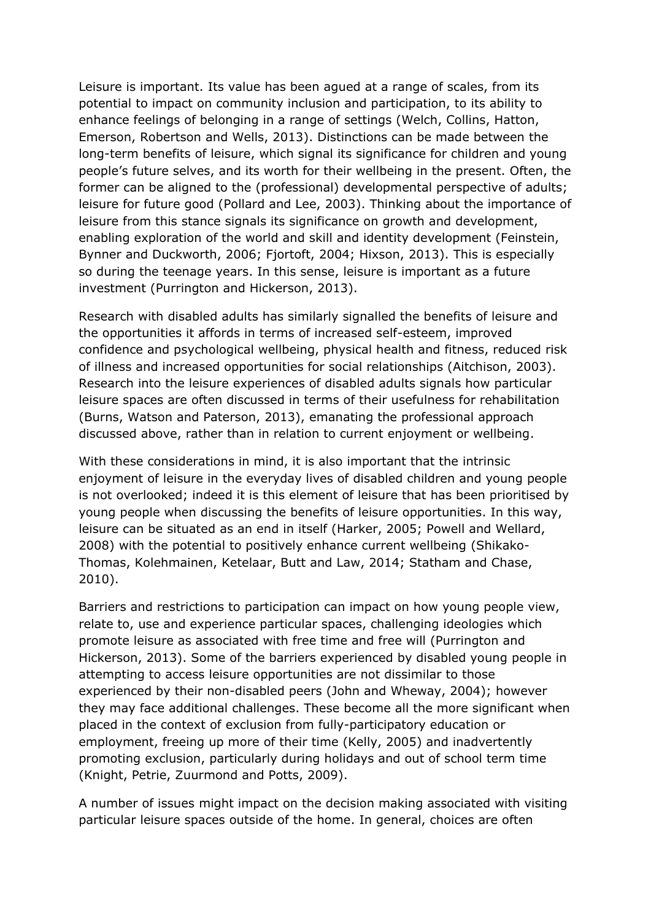Leisure is important. Its value has been agued at a range of scales, from its potential to impact on community inclusion and participation, to its ability to enhance feelings of belonging in a range of settings (Welch, Collins, Hatton, Emerson, Robertson and Wells, 2013). Distinctions can be made between the long-term benefits of leisure, which signal its significance for children and young people's future selves, and its worth for their wellbeing in the present. Often, the former can be aligned to the (professional) developmental perspective of adults; leisure for future good (Pollard and Lee, 2003). Thinking about the importance of leisure from this stance signals its significance on growth and development, enabling exploration of the world and skill and identity development (Feinstein, Bynner and Duckworth, 2006; Fjortoft, 2004; Hixson, 2013). This is especially so during the teenage years. In this sense, leisure is important as a future investment (Purrington and Hickerson, 2013).

Research with disabled adults has similarly signalled the benefits of leisure and the opportunities it affords in terms of increased self-esteem, improved confidence and psychological wellbeing, physical health and fitness, reduced risk of illness and increased opportunities for social relationships (Aitchison, 2003). Research into the leisure experiences of disabled adults signals how particular leisure spaces are often discussed in terms of their usefulness for rehabilitation (Burns, Watson and Paterson, 2013), emanating the professional approach discussed above, rather than in relation to current enjoyment or wellbeing.

With these considerations in mind, it is also important that the intrinsic enjoyment of leisure in the everyday lives of disabled children and young people is not overlooked; indeed it is this element of leisure that has been prioritised by young people when discussing the benefits of leisure opportunities. In this way, leisure can be situated as an end in itself (Harker, 2005; Powell and Wellard, 2008) with the potential to positively enhance current wellbeing (Shikako-Thomas, Kolehmainen, Ketelaar, Butt and Law, 2014; Statham and Chase, 2010).

Barriers and restrictions to participation can impact on how young people view, relate to, use and experience particular spaces, challenging ideologies which promote leisure as associated with free time and free will (Purrington and Hickerson, 2013). Some of the barriers experienced by disabled young people in attempting to access leisure opportunities are not dissimilar to those experienced by their non-disabled peers (John and Wheway, 2004); however they may face additional challenges. These become all the more significant when placed in the context of exclusion from fully-participatory education or employment, freeing up more of their time (Kelly, 2005) and inadvertently promoting exclusion, particularly during holidays and out of school term time (Knight, Petrie, Zuurmond and Potts, 2009).

A number of issues might impact on the decision making associated with visiting particular leisure spaces outside of the home. In general, choices are often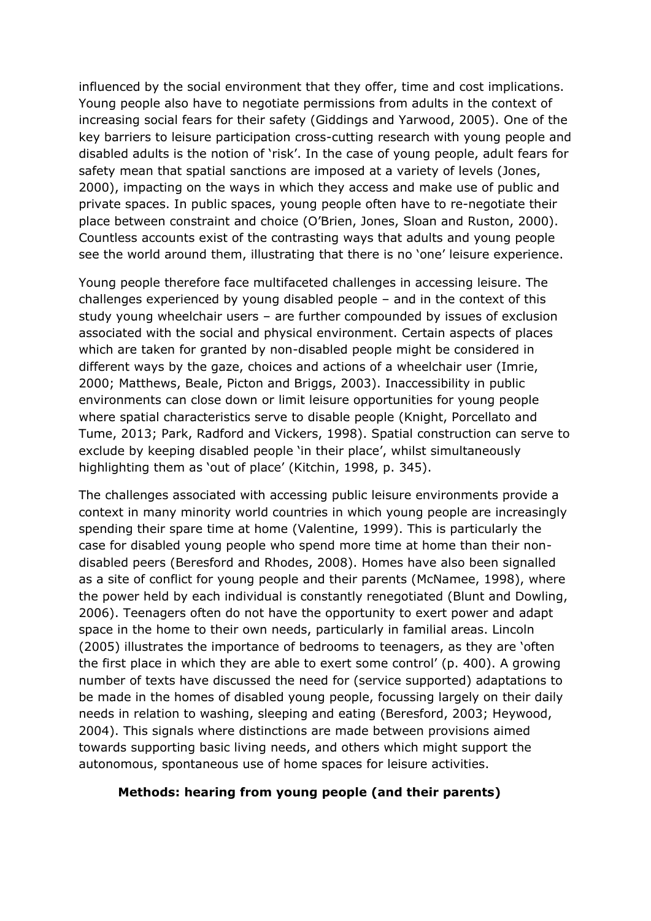influenced by the social environment that they offer, time and cost implications. Young people also have to negotiate permissions from adults in the context of increasing social fears for their safety (Giddings and Yarwood, 2005). One of the key barriers to leisure participation cross-cutting research with young people and disabled adults is the notion of 'risk'. In the case of young people, adult fears for safety mean that spatial sanctions are imposed at a variety of levels (Jones, 2000), impacting on the ways in which they access and make use of public and private spaces. In public spaces, young people often have to re-negotiate their place between constraint and choice (O'Brien, Jones, Sloan and Ruston, 2000). Countless accounts exist of the contrasting ways that adults and young people see the world around them, illustrating that there is no 'one' leisure experience.

Young people therefore face multifaceted challenges in accessing leisure. The challenges experienced by young disabled people – and in the context of this study young wheelchair users – are further compounded by issues of exclusion associated with the social and physical environment. Certain aspects of places which are taken for granted by non-disabled people might be considered in different ways by the gaze, choices and actions of a wheelchair user (Imrie, 2000; Matthews, Beale, Picton and Briggs, 2003). Inaccessibility in public environments can close down or limit leisure opportunities for young people where spatial characteristics serve to disable people (Knight, Porcellato and Tume, 2013; Park, Radford and Vickers, 1998). Spatial construction can serve to exclude by keeping disabled people 'in their place', whilst simultaneously highlighting them as 'out of place' (Kitchin, 1998, p. 345).

The challenges associated with accessing public leisure environments provide a context in many minority world countries in which young people are increasingly spending their spare time at home (Valentine, 1999). This is particularly the case for disabled young people who spend more time at home than their nondisabled peers (Beresford and Rhodes, 2008). Homes have also been signalled as a site of conflict for young people and their parents (McNamee, 1998), where the power held by each individual is constantly renegotiated (Blunt and Dowling, 2006). Teenagers often do not have the opportunity to exert power and adapt space in the home to their own needs, particularly in familial areas. Lincoln (2005) illustrates the importance of bedrooms to teenagers, as they are 'often the first place in which they are able to exert some control' (p. 400). A growing number of texts have discussed the need for (service supported) adaptations to be made in the homes of disabled young people, focussing largely on their daily needs in relation to washing, sleeping and eating (Beresford, 2003; Heywood, 2004). This signals where distinctions are made between provisions aimed towards supporting basic living needs, and others which might support the autonomous, spontaneous use of home spaces for leisure activities.

#### **Methods: hearing from young people (and their parents)**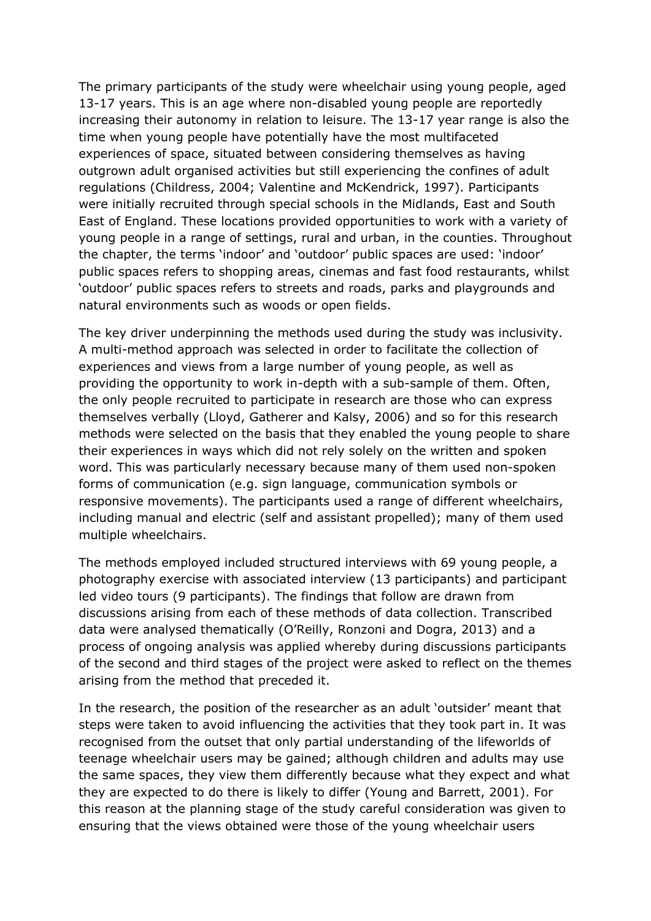The primary participants of the study were wheelchair using young people, aged 13-17 years. This is an age where non-disabled young people are reportedly increasing their autonomy in relation to leisure. The 13-17 year range is also the time when young people have potentially have the most multifaceted experiences of space, situated between considering themselves as having outgrown adult organised activities but still experiencing the confines of adult regulations (Childress, 2004; Valentine and McKendrick, 1997). Participants were initially recruited through special schools in the Midlands, East and South East of England. These locations provided opportunities to work with a variety of young people in a range of settings, rural and urban, in the counties. Throughout the chapter, the terms 'indoor' and 'outdoor' public spaces are used: 'indoor' public spaces refers to shopping areas, cinemas and fast food restaurants, whilst 'outdoor' public spaces refers to streets and roads, parks and playgrounds and natural environments such as woods or open fields.

The key driver underpinning the methods used during the study was inclusivity. A multi-method approach was selected in order to facilitate the collection of experiences and views from a large number of young people, as well as providing the opportunity to work in-depth with a sub-sample of them. Often, the only people recruited to participate in research are those who can express themselves verbally (Lloyd, Gatherer and Kalsy, 2006) and so for this research methods were selected on the basis that they enabled the young people to share their experiences in ways which did not rely solely on the written and spoken word. This was particularly necessary because many of them used non-spoken forms of communication (e.g. sign language, communication symbols or responsive movements). The participants used a range of different wheelchairs, including manual and electric (self and assistant propelled); many of them used multiple wheelchairs.

The methods employed included structured interviews with 69 young people, a photography exercise with associated interview (13 participants) and participant led video tours (9 participants). The findings that follow are drawn from discussions arising from each of these methods of data collection. Transcribed data were analysed thematically (O'Reilly, Ronzoni and Dogra, 2013) and a process of ongoing analysis was applied whereby during discussions participants of the second and third stages of the project were asked to reflect on the themes arising from the method that preceded it.

In the research, the position of the researcher as an adult 'outsider' meant that steps were taken to avoid influencing the activities that they took part in. It was recognised from the outset that only partial understanding of the lifeworlds of teenage wheelchair users may be gained; although children and adults may use the same spaces, they view them differently because what they expect and what they are expected to do there is likely to differ (Young and Barrett, 2001). For this reason at the planning stage of the study careful consideration was given to ensuring that the views obtained were those of the young wheelchair users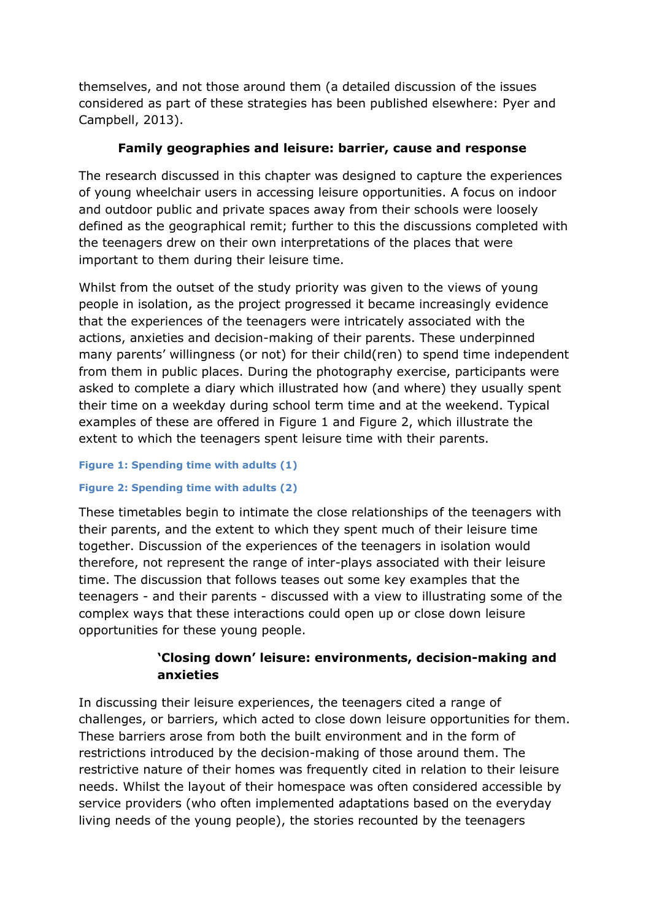themselves, and not those around them (a detailed discussion of the issues considered as part of these strategies has been published elsewhere: Pyer and Campbell, 2013).

### **Family geographies and leisure: barrier, cause and response**

The research discussed in this chapter was designed to capture the experiences of young wheelchair users in accessing leisure opportunities. A focus on indoor and outdoor public and private spaces away from their schools were loosely defined as the geographical remit; further to this the discussions completed with the teenagers drew on their own interpretations of the places that were important to them during their leisure time.

Whilst from the outset of the study priority was given to the views of young people in isolation, as the project progressed it became increasingly evidence that the experiences of the teenagers were intricately associated with the actions, anxieties and decision-making of their parents. These underpinned many parents' willingness (or not) for their child(ren) to spend time independent from them in public places. During the photography exercise, participants were asked to complete a diary which illustrated how (and where) they usually spent their time on a weekday during school term time and at the weekend. Typical examples of these are offered in [Figure 1](#page-5-0) and [Figure 2,](#page-5-1) which illustrate the extent to which the teenagers spent leisure time with their parents.

<span id="page-5-0"></span>**Figure 1: Spending time with adults (1)**

### <span id="page-5-1"></span>**Figure 2: Spending time with adults (2)**

These timetables begin to intimate the close relationships of the teenagers with their parents, and the extent to which they spent much of their leisure time together. Discussion of the experiences of the teenagers in isolation would therefore, not represent the range of inter-plays associated with their leisure time. The discussion that follows teases out some key examples that the teenagers - and their parents - discussed with a view to illustrating some of the complex ways that these interactions could open up or close down leisure opportunities for these young people.

### **'Closing down' leisure: environments, decision-making and anxieties**

In discussing their leisure experiences, the teenagers cited a range of challenges, or barriers, which acted to close down leisure opportunities for them. These barriers arose from both the built environment and in the form of restrictions introduced by the decision-making of those around them. The restrictive nature of their homes was frequently cited in relation to their leisure needs. Whilst the layout of their homespace was often considered accessible by service providers (who often implemented adaptations based on the everyday living needs of the young people), the stories recounted by the teenagers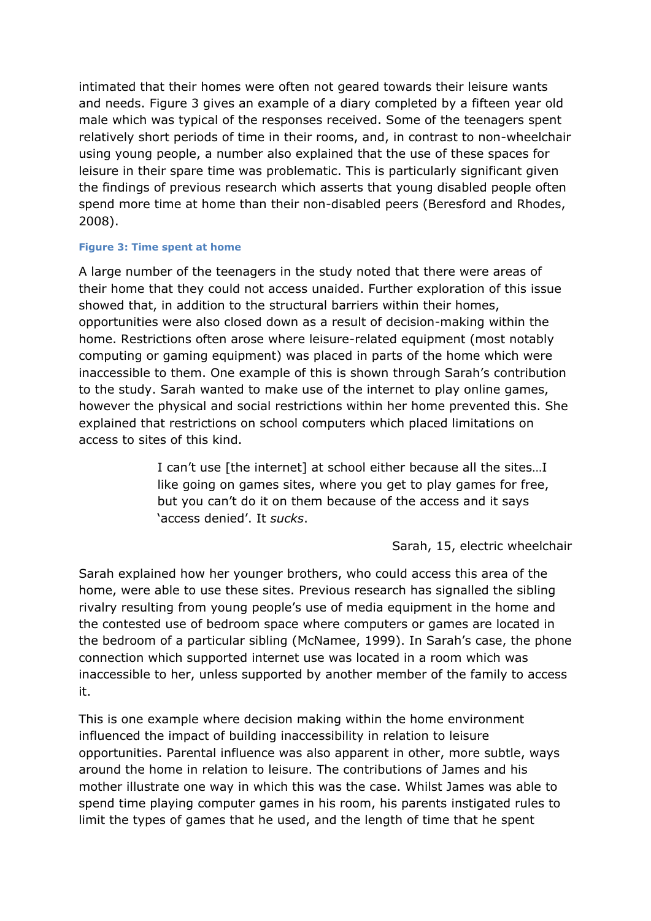intimated that their homes were often not geared towards their leisure wants and needs. [Figure 3](#page-6-0) gives an example of a diary completed by a fifteen year old male which was typical of the responses received. Some of the teenagers spent relatively short periods of time in their rooms, and, in contrast to non-wheelchair using young people, a number also explained that the use of these spaces for leisure in their spare time was problematic. This is particularly significant given the findings of previous research which asserts that young disabled people often spend more time at home than their non-disabled peers (Beresford and Rhodes, 2008).

#### <span id="page-6-0"></span>**Figure 3: Time spent at home**

A large number of the teenagers in the study noted that there were areas of their home that they could not access unaided. Further exploration of this issue showed that, in addition to the structural barriers within their homes, opportunities were also closed down as a result of decision-making within the home. Restrictions often arose where leisure-related equipment (most notably computing or gaming equipment) was placed in parts of the home which were inaccessible to them. One example of this is shown through Sarah's contribution to the study. Sarah wanted to make use of the internet to play online games, however the physical and social restrictions within her home prevented this. She explained that restrictions on school computers which placed limitations on access to sites of this kind.

> I can't use [the internet] at school either because all the sites…I like going on games sites, where you get to play games for free, but you can't do it on them because of the access and it says 'access denied'. It *sucks*.

> > Sarah, 15, electric wheelchair

Sarah explained how her younger brothers, who could access this area of the home, were able to use these sites. Previous research has signalled the sibling rivalry resulting from young people's use of media equipment in the home and the contested use of bedroom space where computers or games are located in the bedroom of a particular sibling (McNamee, 1999). In Sarah's case, the phone connection which supported internet use was located in a room which was inaccessible to her, unless supported by another member of the family to access it.

This is one example where decision making within the home environment influenced the impact of building inaccessibility in relation to leisure opportunities. Parental influence was also apparent in other, more subtle, ways around the home in relation to leisure. The contributions of James and his mother illustrate one way in which this was the case. Whilst James was able to spend time playing computer games in his room, his parents instigated rules to limit the types of games that he used, and the length of time that he spent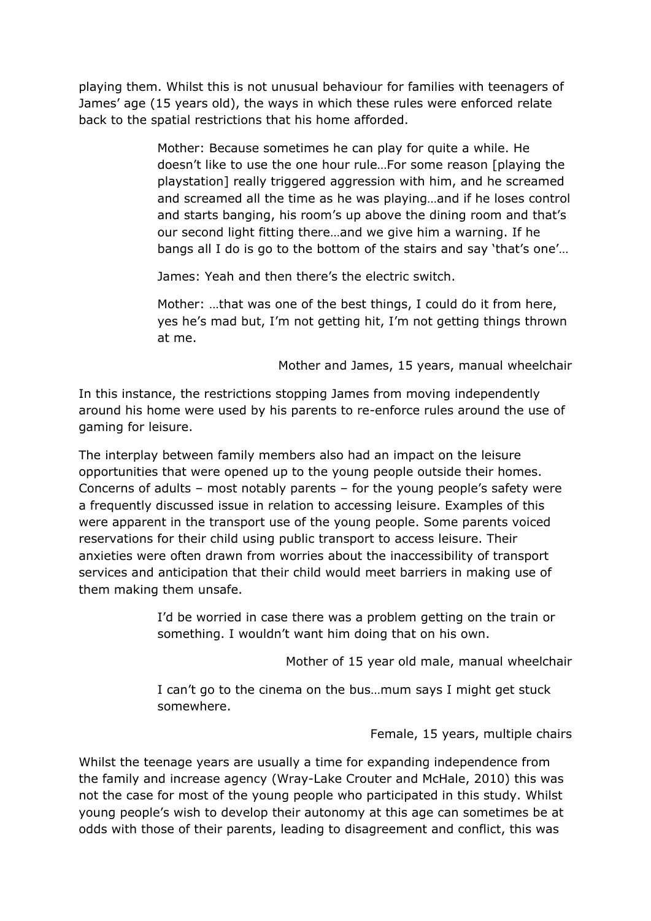playing them. Whilst this is not unusual behaviour for families with teenagers of James' age (15 years old), the ways in which these rules were enforced relate back to the spatial restrictions that his home afforded.

> Mother: Because sometimes he can play for quite a while. He doesn't like to use the one hour rule…For some reason [playing the playstation] really triggered aggression with him, and he screamed and screamed all the time as he was playing…and if he loses control and starts banging, his room's up above the dining room and that's our second light fitting there…and we give him a warning. If he bangs all I do is go to the bottom of the stairs and say 'that's one'…

James: Yeah and then there's the electric switch.

Mother: …that was one of the best things, I could do it from here, yes he's mad but, I'm not getting hit, I'm not getting things thrown at me.

Mother and James, 15 years, manual wheelchair

In this instance, the restrictions stopping James from moving independently around his home were used by his parents to re-enforce rules around the use of gaming for leisure.

The interplay between family members also had an impact on the leisure opportunities that were opened up to the young people outside their homes. Concerns of adults – most notably parents – for the young people's safety were a frequently discussed issue in relation to accessing leisure. Examples of this were apparent in the transport use of the young people. Some parents voiced reservations for their child using public transport to access leisure. Their anxieties were often drawn from worries about the inaccessibility of transport services and anticipation that their child would meet barriers in making use of them making them unsafe.

> I'd be worried in case there was a problem getting on the train or something. I wouldn't want him doing that on his own.

> > Mother of 15 year old male, manual wheelchair

I can't go to the cinema on the bus…mum says I might get stuck somewhere.

Female, 15 years, multiple chairs

Whilst the teenage years are usually a time for expanding independence from the family and increase agency (Wray-Lake Crouter and McHale, 2010) this was not the case for most of the young people who participated in this study. Whilst young people's wish to develop their autonomy at this age can sometimes be at odds with those of their parents, leading to disagreement and conflict, this was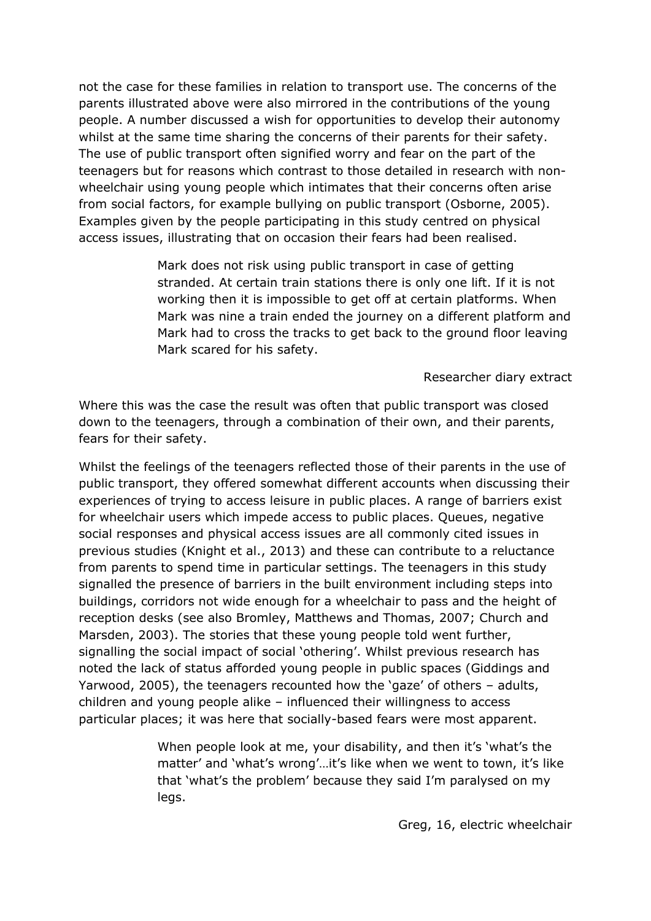not the case for these families in relation to transport use. The concerns of the parents illustrated above were also mirrored in the contributions of the young people. A number discussed a wish for opportunities to develop their autonomy whilst at the same time sharing the concerns of their parents for their safety. The use of public transport often signified worry and fear on the part of the teenagers but for reasons which contrast to those detailed in research with nonwheelchair using young people which intimates that their concerns often arise from social factors, for example bullying on public transport (Osborne, 2005). Examples given by the people participating in this study centred on physical access issues, illustrating that on occasion their fears had been realised.

> Mark does not risk using public transport in case of getting stranded. At certain train stations there is only one lift. If it is not working then it is impossible to get off at certain platforms. When Mark was nine a train ended the journey on a different platform and Mark had to cross the tracks to get back to the ground floor leaving Mark scared for his safety.

#### Researcher diary extract

Where this was the case the result was often that public transport was closed down to the teenagers, through a combination of their own, and their parents, fears for their safety.

Whilst the feelings of the teenagers reflected those of their parents in the use of public transport, they offered somewhat different accounts when discussing their experiences of trying to access leisure in public places. A range of barriers exist for wheelchair users which impede access to public places. Queues, negative social responses and physical access issues are all commonly cited issues in previous studies (Knight et al., 2013) and these can contribute to a reluctance from parents to spend time in particular settings. The teenagers in this study signalled the presence of barriers in the built environment including steps into buildings, corridors not wide enough for a wheelchair to pass and the height of reception desks (see also Bromley, Matthews and Thomas, 2007; Church and Marsden, 2003). The stories that these young people told went further, signalling the social impact of social 'othering'. Whilst previous research has noted the lack of status afforded young people in public spaces (Giddings and Yarwood, 2005), the teenagers recounted how the 'gaze' of others – adults, children and young people alike – influenced their willingness to access particular places; it was here that socially-based fears were most apparent.

> When people look at me, your disability, and then it's 'what's the matter' and 'what's wrong'…it's like when we went to town, it's like that 'what's the problem' because they said I'm paralysed on my legs.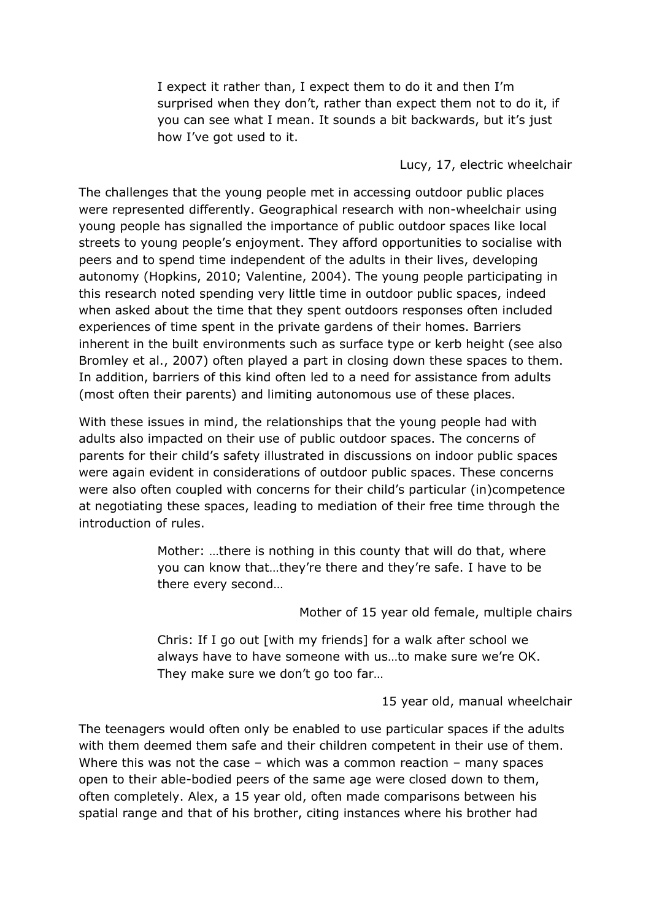I expect it rather than, I expect them to do it and then I'm surprised when they don't, rather than expect them not to do it, if you can see what I mean. It sounds a bit backwards, but it's just how I've got used to it.

Lucy, 17, electric wheelchair

The challenges that the young people met in accessing outdoor public places were represented differently. Geographical research with non-wheelchair using young people has signalled the importance of public outdoor spaces like local streets to young people's enjoyment. They afford opportunities to socialise with peers and to spend time independent of the adults in their lives, developing autonomy (Hopkins, 2010; Valentine, 2004). The young people participating in this research noted spending very little time in outdoor public spaces, indeed when asked about the time that they spent outdoors responses often included experiences of time spent in the private gardens of their homes. Barriers inherent in the built environments such as surface type or kerb height (see also Bromley et al., 2007) often played a part in closing down these spaces to them. In addition, barriers of this kind often led to a need for assistance from adults (most often their parents) and limiting autonomous use of these places.

With these issues in mind, the relationships that the young people had with adults also impacted on their use of public outdoor spaces. The concerns of parents for their child's safety illustrated in discussions on indoor public spaces were again evident in considerations of outdoor public spaces. These concerns were also often coupled with concerns for their child's particular (in)competence at negotiating these spaces, leading to mediation of their free time through the introduction of rules.

> Mother: …there is nothing in this county that will do that, where you can know that…they're there and they're safe. I have to be there every second…

> > Mother of 15 year old female, multiple chairs

Chris: If I go out [with my friends] for a walk after school we always have to have someone with us…to make sure we're OK. They make sure we don't go too far…

15 year old, manual wheelchair

The teenagers would often only be enabled to use particular spaces if the adults with them deemed them safe and their children competent in their use of them. Where this was not the case – which was a common reaction – many spaces open to their able-bodied peers of the same age were closed down to them, often completely. Alex, a 15 year old, often made comparisons between his spatial range and that of his brother, citing instances where his brother had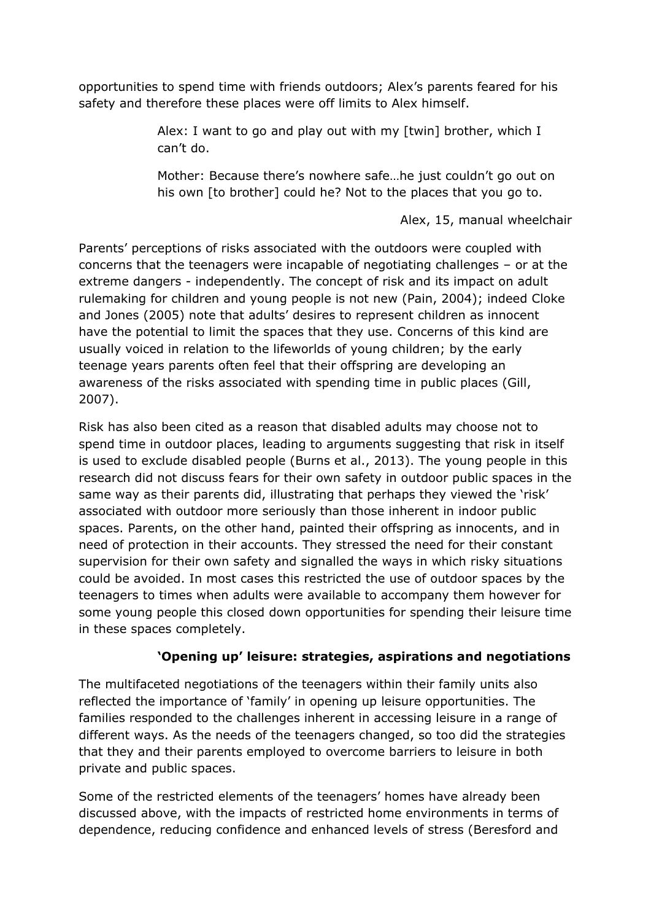opportunities to spend time with friends outdoors; Alex's parents feared for his safety and therefore these places were off limits to Alex himself.

> Alex: I want to go and play out with my [twin] brother, which I can't do.

Mother: Because there's nowhere safe…he just couldn't go out on his own [to brother] could he? Not to the places that you go to.

Alex, 15, manual wheelchair

Parents' perceptions of risks associated with the outdoors were coupled with concerns that the teenagers were incapable of negotiating challenges – or at the extreme dangers - independently. The concept of risk and its impact on adult rulemaking for children and young people is not new (Pain, 2004); indeed Cloke and Jones (2005) note that adults' desires to represent children as innocent have the potential to limit the spaces that they use. Concerns of this kind are usually voiced in relation to the lifeworlds of young children; by the early teenage years parents often feel that their offspring are developing an awareness of the risks associated with spending time in public places (Gill, 2007).

Risk has also been cited as a reason that disabled adults may choose not to spend time in outdoor places, leading to arguments suggesting that risk in itself is used to exclude disabled people (Burns et al., 2013). The young people in this research did not discuss fears for their own safety in outdoor public spaces in the same way as their parents did, illustrating that perhaps they viewed the 'risk' associated with outdoor more seriously than those inherent in indoor public spaces. Parents, on the other hand, painted their offspring as innocents, and in need of protection in their accounts. They stressed the need for their constant supervision for their own safety and signalled the ways in which risky situations could be avoided. In most cases this restricted the use of outdoor spaces by the teenagers to times when adults were available to accompany them however for some young people this closed down opportunities for spending their leisure time in these spaces completely.

### **'Opening up' leisure: strategies, aspirations and negotiations**

The multifaceted negotiations of the teenagers within their family units also reflected the importance of 'family' in opening up leisure opportunities. The families responded to the challenges inherent in accessing leisure in a range of different ways. As the needs of the teenagers changed, so too did the strategies that they and their parents employed to overcome barriers to leisure in both private and public spaces.

Some of the restricted elements of the teenagers' homes have already been discussed above, with the impacts of restricted home environments in terms of dependence, reducing confidence and enhanced levels of stress (Beresford and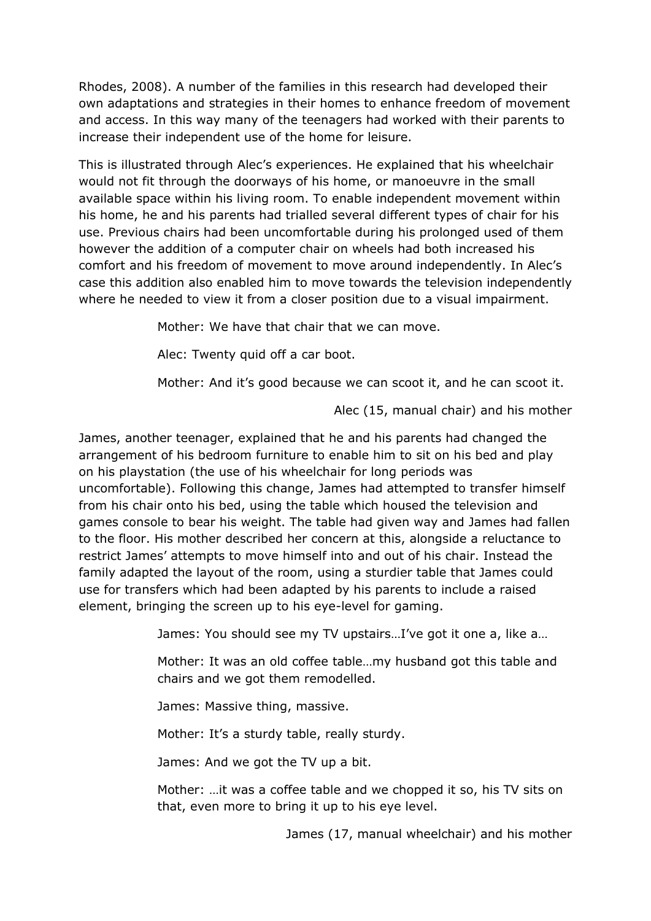Rhodes, 2008). A number of the families in this research had developed their own adaptations and strategies in their homes to enhance freedom of movement and access. In this way many of the teenagers had worked with their parents to increase their independent use of the home for leisure.

This is illustrated through Alec's experiences. He explained that his wheelchair would not fit through the doorways of his home, or manoeuvre in the small available space within his living room. To enable independent movement within his home, he and his parents had trialled several different types of chair for his use. Previous chairs had been uncomfortable during his prolonged used of them however the addition of a computer chair on wheels had both increased his comfort and his freedom of movement to move around independently. In Alec's case this addition also enabled him to move towards the television independently where he needed to view it from a closer position due to a visual impairment.

Mother: We have that chair that we can move.

Alec: Twenty quid off a car boot.

Mother: And it's good because we can scoot it, and he can scoot it.

Alec (15, manual chair) and his mother

James, another teenager, explained that he and his parents had changed the arrangement of his bedroom furniture to enable him to sit on his bed and play on his playstation (the use of his wheelchair for long periods was uncomfortable). Following this change, James had attempted to transfer himself from his chair onto his bed, using the table which housed the television and games console to bear his weight. The table had given way and James had fallen to the floor. His mother described her concern at this, alongside a reluctance to restrict James' attempts to move himself into and out of his chair. Instead the family adapted the layout of the room, using a sturdier table that James could use for transfers which had been adapted by his parents to include a raised element, bringing the screen up to his eye-level for gaming.

James: You should see my TV upstairs…I've got it one a, like a…

Mother: It was an old coffee table…my husband got this table and chairs and we got them remodelled.

James: Massive thing, massive.

Mother: It's a sturdy table, really sturdy.

James: And we got the TV up a bit.

Mother: …it was a coffee table and we chopped it so, his TV sits on that, even more to bring it up to his eye level.

James (17, manual wheelchair) and his mother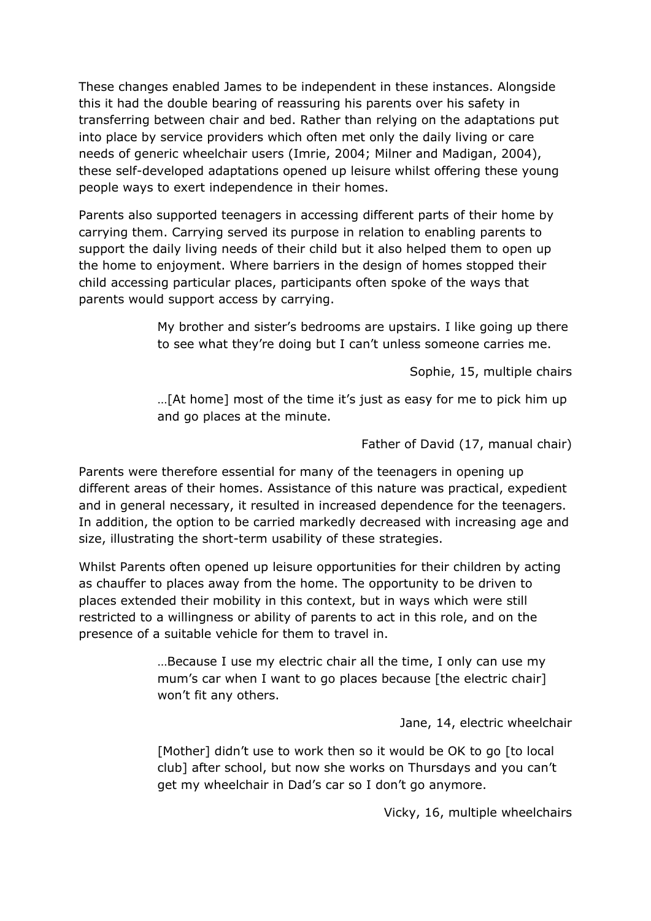These changes enabled James to be independent in these instances. Alongside this it had the double bearing of reassuring his parents over his safety in transferring between chair and bed. Rather than relying on the adaptations put into place by service providers which often met only the daily living or care needs of generic wheelchair users (Imrie, 2004; Milner and Madigan, 2004), these self-developed adaptations opened up leisure whilst offering these young people ways to exert independence in their homes.

Parents also supported teenagers in accessing different parts of their home by carrying them. Carrying served its purpose in relation to enabling parents to support the daily living needs of their child but it also helped them to open up the home to enjoyment. Where barriers in the design of homes stopped their child accessing particular places, participants often spoke of the ways that parents would support access by carrying.

> My brother and sister's bedrooms are upstairs. I like going up there to see what they're doing but I can't unless someone carries me.

> > Sophie, 15, multiple chairs

…[At home] most of the time it's just as easy for me to pick him up and go places at the minute.

Father of David (17, manual chair)

Parents were therefore essential for many of the teenagers in opening up different areas of their homes. Assistance of this nature was practical, expedient and in general necessary, it resulted in increased dependence for the teenagers. In addition, the option to be carried markedly decreased with increasing age and size, illustrating the short-term usability of these strategies.

Whilst Parents often opened up leisure opportunities for their children by acting as chauffer to places away from the home. The opportunity to be driven to places extended their mobility in this context, but in ways which were still restricted to a willingness or ability of parents to act in this role, and on the presence of a suitable vehicle for them to travel in.

> …Because I use my electric chair all the time, I only can use my mum's car when I want to go places because [the electric chair] won't fit any others.

> > Jane, 14, electric wheelchair

[Mother] didn't use to work then so it would be OK to go [to local club] after school, but now she works on Thursdays and you can't get my wheelchair in Dad's car so I don't go anymore.

Vicky, 16, multiple wheelchairs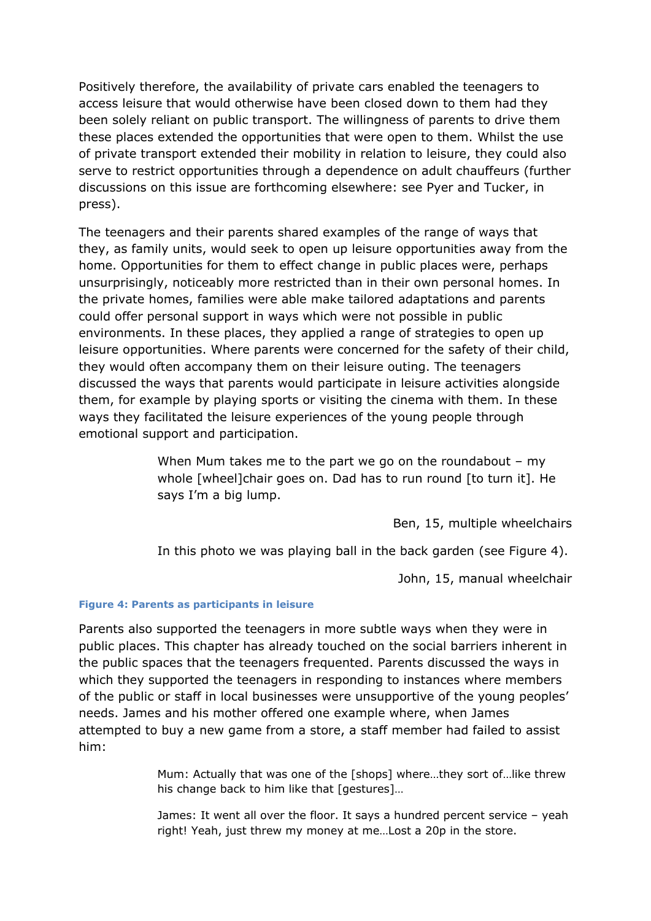Positively therefore, the availability of private cars enabled the teenagers to access leisure that would otherwise have been closed down to them had they been solely reliant on public transport. The willingness of parents to drive them these places extended the opportunities that were open to them. Whilst the use of private transport extended their mobility in relation to leisure, they could also serve to restrict opportunities through a dependence on adult chauffeurs (further discussions on this issue are forthcoming elsewhere: see Pyer and Tucker, in press).

The teenagers and their parents shared examples of the range of ways that they, as family units, would seek to open up leisure opportunities away from the home. Opportunities for them to effect change in public places were, perhaps unsurprisingly, noticeably more restricted than in their own personal homes. In the private homes, families were able make tailored adaptations and parents could offer personal support in ways which were not possible in public environments. In these places, they applied a range of strategies to open up leisure opportunities. Where parents were concerned for the safety of their child, they would often accompany them on their leisure outing. The teenagers discussed the ways that parents would participate in leisure activities alongside them, for example by playing sports or visiting the cinema with them. In these ways they facilitated the leisure experiences of the young people through emotional support and participation.

> When Mum takes me to the part we go on the roundabout – my whole [wheel]chair goes on. Dad has to run round [to turn it]. He says I'm a big lump.

> > Ben, 15, multiple wheelchairs

In this photo we was playing ball in the back garden (see [Figure 4\)](#page-13-0).

John, 15, manual wheelchair

#### <span id="page-13-0"></span>**Figure 4: Parents as participants in leisure**

Parents also supported the teenagers in more subtle ways when they were in public places. This chapter has already touched on the social barriers inherent in the public spaces that the teenagers frequented. Parents discussed the ways in which they supported the teenagers in responding to instances where members of the public or staff in local businesses were unsupportive of the young peoples' needs. James and his mother offered one example where, when James attempted to buy a new game from a store, a staff member had failed to assist him:

> Mum: Actually that was one of the [shops] where…they sort of…like threw his change back to him like that [gestures]...

> James: It went all over the floor. It says a hundred percent service – yeah right! Yeah, just threw my money at me…Lost a 20p in the store.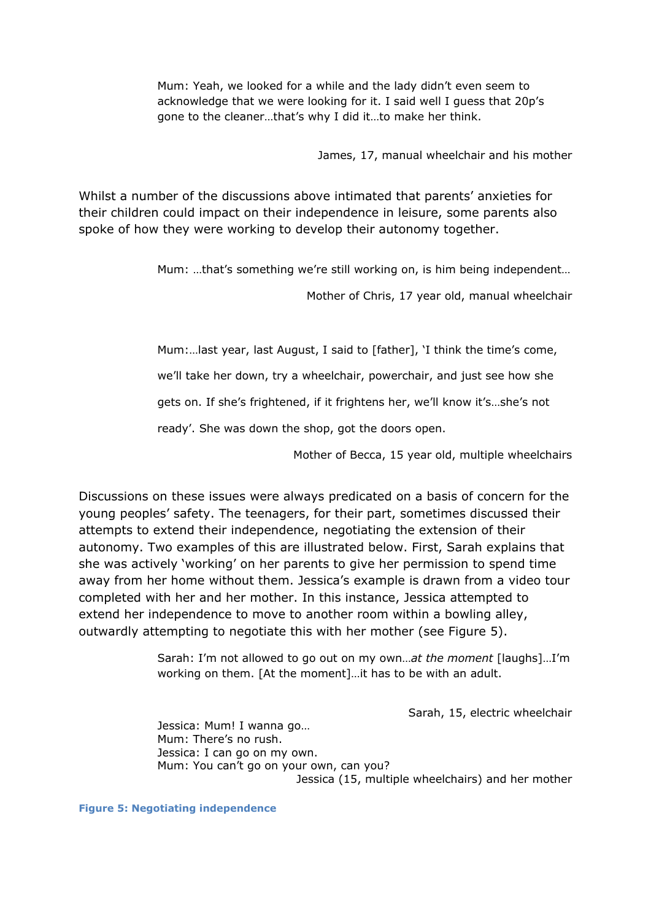Mum: Yeah, we looked for a while and the lady didn't even seem to acknowledge that we were looking for it. I said well I guess that 20p's gone to the cleaner…that's why I did it…to make her think.

James, 17, manual wheelchair and his mother

Whilst a number of the discussions above intimated that parents' anxieties for their children could impact on their independence in leisure, some parents also spoke of how they were working to develop their autonomy together.

Mum: …that's something we're still working on, is him being independent…

Mother of Chris, 17 year old, manual wheelchair

Mum:…last year, last August, I said to [father], 'I think the time's come, we'll take her down, try a wheelchair, powerchair, and just see how she gets on. If she's frightened, if it frightens her, we'll know it's…she's not ready'. She was down the shop, got the doors open.

Mother of Becca, 15 year old, multiple wheelchairs

Discussions on these issues were always predicated on a basis of concern for the young peoples' safety. The teenagers, for their part, sometimes discussed their attempts to extend their independence, negotiating the extension of their autonomy. Two examples of this are illustrated below. First, Sarah explains that she was actively 'working' on her parents to give her permission to spend time away from her home without them. Jessica's example is drawn from a video tour completed with her and her mother. In this instance, Jessica attempted to extend her independence to move to another room within a bowling alley, outwardly attempting to negotiate this with her mother (see [Figure 5\)](#page-14-0).

> Sarah: I'm not allowed to go out on my own…*at the moment* [laughs]…I'm working on them. [At the moment]…it has to be with an adult.

> > Sarah, 15, electric wheelchair

Jessica: Mum! I wanna go… Mum: There's no rush. Jessica: I can go on my own. Mum: You can't go on your own, can you? Jessica (15, multiple wheelchairs) and her mother

<span id="page-14-0"></span>**Figure 5: Negotiating independence**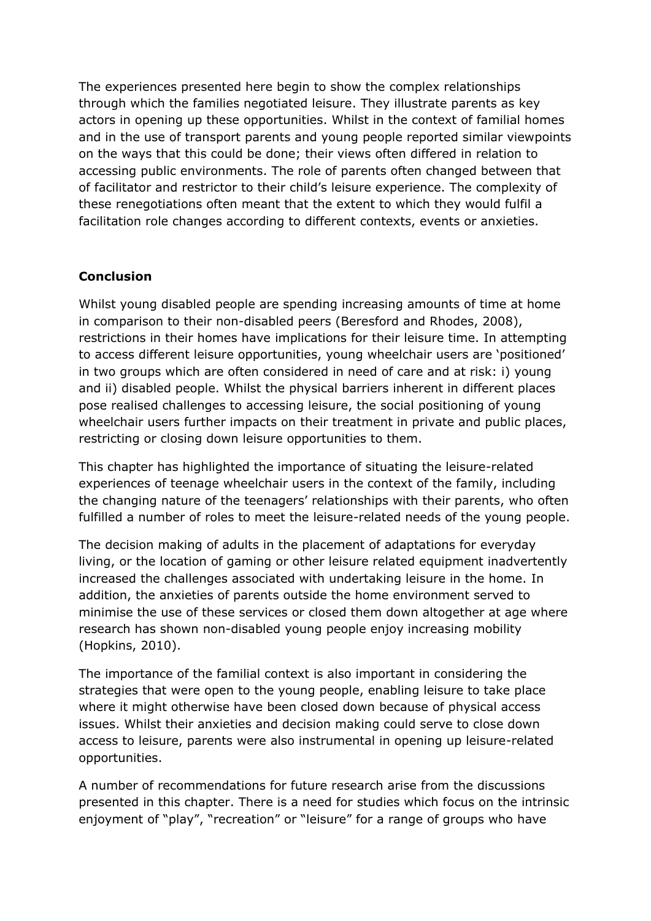The experiences presented here begin to show the complex relationships through which the families negotiated leisure. They illustrate parents as key actors in opening up these opportunities. Whilst in the context of familial homes and in the use of transport parents and young people reported similar viewpoints on the ways that this could be done; their views often differed in relation to accessing public environments. The role of parents often changed between that of facilitator and restrictor to their child's leisure experience. The complexity of these renegotiations often meant that the extent to which they would fulfil a facilitation role changes according to different contexts, events or anxieties.

### **Conclusion**

Whilst young disabled people are spending increasing amounts of time at home in comparison to their non-disabled peers (Beresford and Rhodes, 2008), restrictions in their homes have implications for their leisure time. In attempting to access different leisure opportunities, young wheelchair users are 'positioned' in two groups which are often considered in need of care and at risk: i) young and ii) disabled people. Whilst the physical barriers inherent in different places pose realised challenges to accessing leisure, the social positioning of young wheelchair users further impacts on their treatment in private and public places, restricting or closing down leisure opportunities to them.

This chapter has highlighted the importance of situating the leisure-related experiences of teenage wheelchair users in the context of the family, including the changing nature of the teenagers' relationships with their parents, who often fulfilled a number of roles to meet the leisure-related needs of the young people.

The decision making of adults in the placement of adaptations for everyday living, or the location of gaming or other leisure related equipment inadvertently increased the challenges associated with undertaking leisure in the home. In addition, the anxieties of parents outside the home environment served to minimise the use of these services or closed them down altogether at age where research has shown non-disabled young people enjoy increasing mobility (Hopkins, 2010).

The importance of the familial context is also important in considering the strategies that were open to the young people, enabling leisure to take place where it might otherwise have been closed down because of physical access issues. Whilst their anxieties and decision making could serve to close down access to leisure, parents were also instrumental in opening up leisure-related opportunities.

A number of recommendations for future research arise from the discussions presented in this chapter. There is a need for studies which focus on the intrinsic enjoyment of "play", "recreation" or "leisure" for a range of groups who have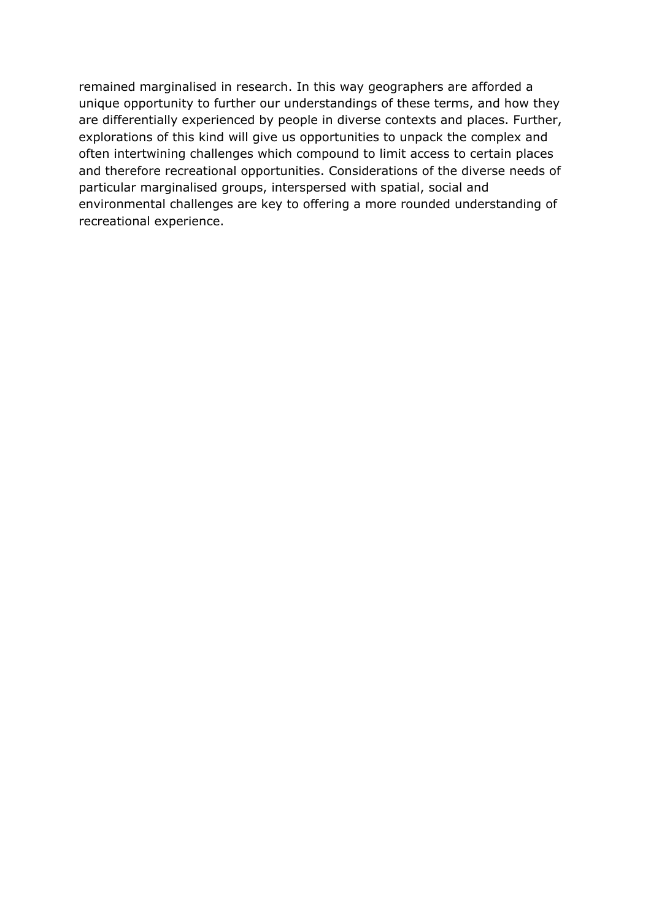remained marginalised in research. In this way geographers are afforded a unique opportunity to further our understandings of these terms, and how they are differentially experienced by people in diverse contexts and places. Further, explorations of this kind will give us opportunities to unpack the complex and often intertwining challenges which compound to limit access to certain places and therefore recreational opportunities. Considerations of the diverse needs of particular marginalised groups, interspersed with spatial, social and environmental challenges are key to offering a more rounded understanding of recreational experience.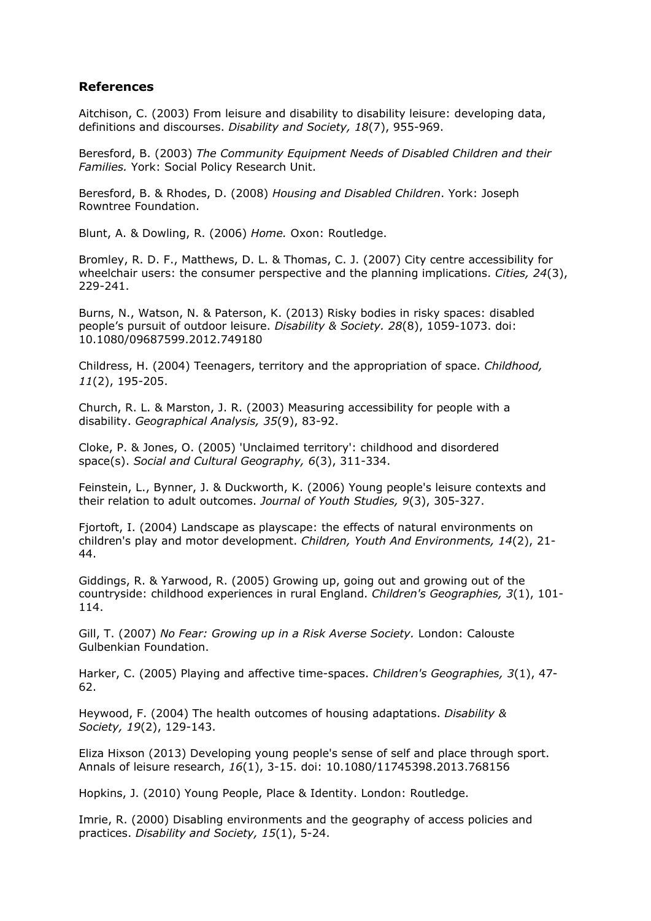#### **References**

Aitchison, C. (2003) From leisure and disability to disability leisure: developing data, definitions and discourses. *Disability and Society, 18*(7), 955-969.

Beresford, B. (2003) *The Community Equipment Needs of Disabled Children and their Families.* York: Social Policy Research Unit.

Beresford, B. & Rhodes, D. (2008) *Housing and Disabled Children*. York: Joseph Rowntree Foundation.

Blunt, A. & Dowling, R. (2006) *Home.* Oxon: Routledge.

Bromley, R. D. F., Matthews, D. L. & Thomas, C. J. (2007) City centre accessibility for wheelchair users: the consumer perspective and the planning implications. *Cities, 24*(3), 229-241.

Burns, N., Watson, N. & Paterson, K. (2013) Risky bodies in risky spaces: disabled people's pursuit of outdoor leisure. *Disability & Society. 28*(8), 1059-1073. doi: 10.1080/09687599.2012.749180

Childress, H. (2004) Teenagers, territory and the appropriation of space. *Childhood, 11*(2), 195-205.

Church, R. L. & Marston, J. R. (2003) Measuring accessibility for people with a disability. *Geographical Analysis, 35*(9), 83-92.

Cloke, P. & Jones, O. (2005) 'Unclaimed territory': childhood and disordered space(s). *Social and Cultural Geography, 6*(3), 311-334.

Feinstein, L., Bynner, J. & Duckworth, K. (2006) Young people's leisure contexts and their relation to adult outcomes. *Journal of Youth Studies, 9*(3), 305-327.

Fjortoft, I. (2004) Landscape as playscape: the effects of natural environments on children's play and motor development. *Children, Youth And Environments, 14*(2), 21- 44.

Giddings, R. & Yarwood, R. (2005) Growing up, going out and growing out of the countryside: childhood experiences in rural England. *Children's Geographies, 3*(1), 101- 114.

Gill, T. (2007) *No Fear: Growing up in a Risk Averse Society.* London: Calouste Gulbenkian Foundation.

Harker, C. (2005) Playing and affective time-spaces. *Children's Geographies, 3*(1), 47- 62.

Heywood, F. (2004) The health outcomes of housing adaptations. *Disability & Society, 19*(2), 129-143.

Eliza Hixson (2013) Developing young people's sense of self and place through sport. Annals of leisure research, *16*(1), 3-15. doi: 10.1080/11745398.2013.768156

Hopkins, J. (2010) Young People, Place & Identity. London: Routledge.

Imrie, R. (2000) Disabling environments and the geography of access policies and practices. *Disability and Society, 15*(1), 5-24.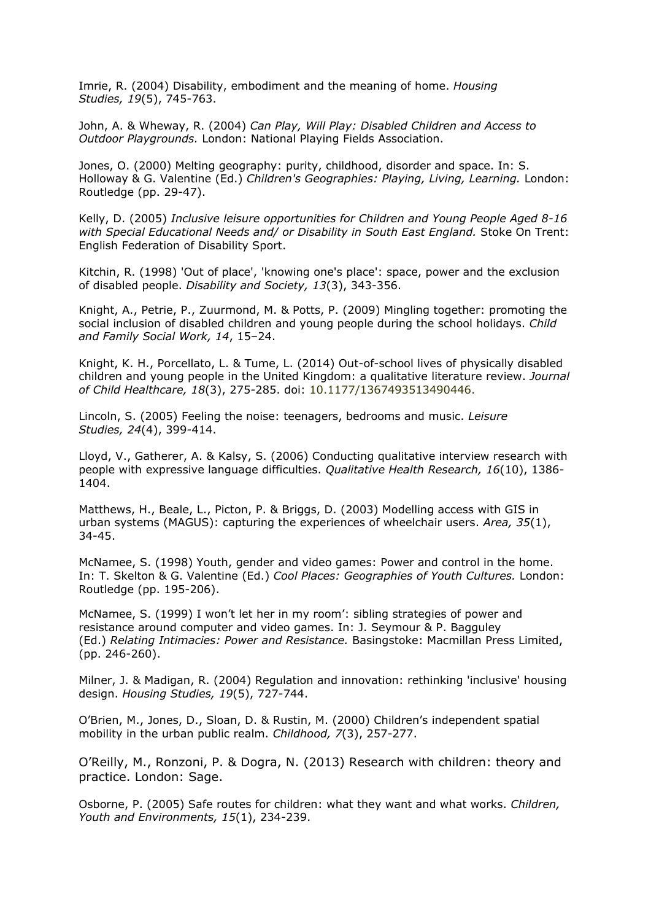Imrie, R. (2004) Disability, embodiment and the meaning of home. *Housing Studies, 19*(5), 745-763.

John, A. & Wheway, R. (2004) *Can Play, Will Play: Disabled Children and Access to Outdoor Playgrounds.* London: National Playing Fields Association.

Jones, O. (2000) Melting geography: purity, childhood, disorder and space. In: S. Holloway & G. Valentine (Ed.) *Children's Geographies: Playing, Living, Learning.* London: Routledge (pp. 29-47).

Kelly, D. (2005) *Inclusive leisure opportunities for Children and Young People Aged 8-16 with Special Educational Needs and/ or Disability in South East England.* Stoke On Trent: English Federation of Disability Sport.

Kitchin, R. (1998) 'Out of place', 'knowing one's place': space, power and the exclusion of disabled people. *Disability and Society, 13*(3), 343-356.

Knight, A., Petrie, P., Zuurmond, M. & Potts, P. (2009) Mingling together: promoting the social inclusion of disabled children and young people during the school holidays. *Child and Family Social Work, 14*, 15–24.

Knight, K. H., Porcellato, L. & Tume, L. (2014) Out-of-school lives of physically disabled children and young people in the United Kingdom: a qualitative literature review. *Journal of Child Healthcare, 18*(3), 275-285. doi: 10.1177/1367493513490446.

Lincoln, S. (2005) Feeling the noise: teenagers, bedrooms and music. *Leisure Studies, 24*(4), 399-414.

Lloyd, V., Gatherer, A. & Kalsy, S. (2006) Conducting qualitative interview research with people with expressive language difficulties. *Qualitative Health Research, 16*(10), 1386- 1404.

Matthews, H., Beale, L., Picton, P. & Briggs, D. (2003) Modelling access with GIS in urban systems (MAGUS): capturing the experiences of wheelchair users. *Area, 35*(1), 34-45.

McNamee, S. (1998) Youth, gender and video games: Power and control in the home. In: T. Skelton & G. Valentine (Ed.) *Cool Places: Geographies of Youth Cultures.* London: Routledge (pp. 195-206).

McNamee, S. (1999) I won't let her in my room': sibling strategies of power and resistance around computer and video games. In: J. Seymour & P. Bagguley (Ed.) *Relating Intimacies: Power and Resistance.* Basingstoke: Macmillan Press Limited, (pp. 246-260).

Milner, J. & Madigan, R. (2004) Regulation and innovation: rethinking 'inclusive' housing design. *Housing Studies, 19*(5), 727-744.

O'Brien, M., Jones, D., Sloan, D. & Rustin, M. (2000) Children's independent spatial mobility in the urban public realm. *Childhood, 7*(3), 257-277.

O'Reilly, M., Ronzoni, P. & Dogra, N. (2013) Research with children: theory and practice. London: Sage.

Osborne, P. (2005) Safe routes for children: what they want and what works. *Children, Youth and Environments, 15*(1), 234-239.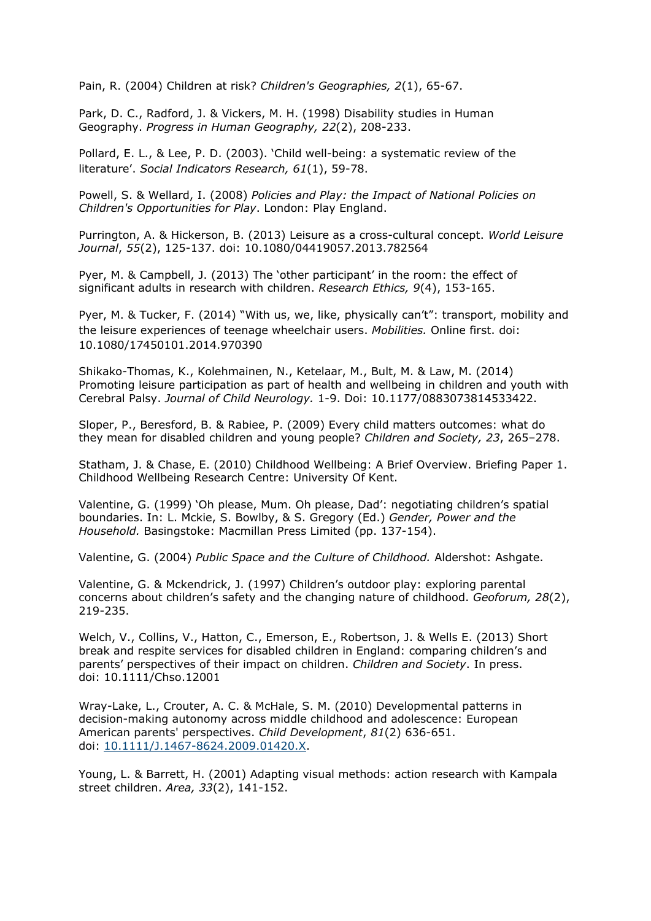Pain, R. (2004) Children at risk? *Children's Geographies, 2*(1), 65-67.

Park, D. C., Radford, J. & Vickers, M. H. (1998) Disability studies in Human Geography. *Progress in Human Geography, 22*(2), 208-233.

Pollard, E. L., & Lee, P. D. (2003). 'Child well-being: a systematic review of the literature'. *Social Indicators Research, 61*(1), 59-78.

Powell, S. & Wellard, I. (2008) *Policies and Play: the Impact of National Policies on Children's Opportunities for Play*. London: Play England.

Purrington, A. & Hickerson, B. (2013) Leisure as a cross-cultural concept. *World Leisure Journal*, *55*(2), 125-137. doi: 10.1080/04419057.2013.782564

Pyer, M. & Campbell, J. (2013) The 'other participant' [in the room: the effect of](http://nectar.northampton.ac.uk/6181/)  [significant adults in research with children.](http://nectar.northampton.ac.uk/6181/) *Research Ethics, 9*(4), 153-165.

Pyer, M. & Tucker, F. (2014) "With us, we, like, physically can't": transport, mobility and the leisure experiences of teenage wheelchair users. *Mobilities.* Online first. doi: 10.1080/17450101.2014.970390

Shikako-Thomas, K., Kolehmainen, N., Ketelaar, M., Bult, M. & Law, M. (2014) Promoting leisure participation as part of health and wellbeing in children and youth with Cerebral Palsy. *Journal of Child Neurology.* 1-9. Doi: 10.1177/0883073814533422.

Sloper, P., Beresford, B. & Rabiee, P. (2009) Every child matters outcomes: what do they mean for disabled children and young people? *Children and Society, 23*, 265–278.

Statham, J. & Chase, E. (2010) Childhood Wellbeing: A Brief Overview. Briefing Paper 1. Childhood Wellbeing Research Centre: University Of Kent.

Valentine, G. (1999) 'Oh please, Mum. Oh please, Dad': negotiating children's spatial boundaries. In: L. Mckie, S. Bowlby, & S. Gregory (Ed.) *Gender, Power and the Household.* Basingstoke: Macmillan Press Limited (pp. 137-154).

Valentine, G. (2004) *Public Space and the Culture of Childhood.* Aldershot: Ashgate.

Valentine, G. & Mckendrick, J. (1997) Children's outdoor play: exploring parental concerns about children's safety and the changing nature of childhood. *Geoforum, 28*(2), 219-235.

Welch, V., Collins, V., Hatton, C., Emerson, E., Robertson, J. & Wells E. (2013) Short break and respite services for disabled children in England: comparing children's and parents' perspectives of their impact on children. *Children and Society*. In press. doi: 10.1111/Chso.12001

Wray-Lake, L., Crouter, A. C. & McHale, S. M. (2010) Developmental patterns in decision-making autonomy across middle childhood and adolescence: European American parents' perspectives. *Child Development*, *81*(2) 636-651. doi: [10.1111/J.1467-8624.2009.01420.X.](http://dx.doi.org/10.1111/j.1467-8624.2009.01420.x)

Young, L. & Barrett, H. (2001) Adapting visual methods: action research with Kampala street children. *Area, 33*(2), 141-152.